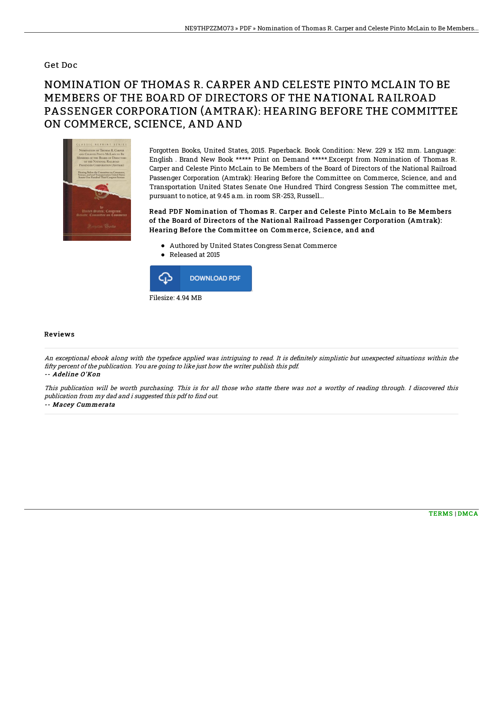## Get Doc

## NOMINATION OF THOMAS R. CARPER AND CELESTE PINTO MCLAIN TO BE MEMBERS OF THE BOARD OF DIRECTORS OF THE NATIONAL RAILROAD PASSENGER CORPORATION (AMTRAK): HEARING BEFORE THE COMMITTEE ON COMMERCE, SCIENCE, AND AND



Forgotten Books, United States, 2015. Paperback. Book Condition: New. 229 x 152 mm. Language: English . Brand New Book \*\*\*\*\* Print on Demand \*\*\*\*\*.Excerpt from Nomination of Thomas R. Carper and Celeste Pinto McLain to Be Members of the Board of Directors of the National Railroad Passenger Corporation (Amtrak): Hearing Before the Committee on Commerce, Science, and and Transportation United States Senate One Hundred Third Congress Session The committee met, pursuant to notice, at 9:45 a.m. in room SR-253, Russell...

Read PDF Nomination of Thomas R. Carper and Celeste Pinto McLain to Be Members of the Board of Directors of the National Railroad Passenger Corporation (Amtrak): Hearing Before the Committee on Commerce, Science, and and

- Authored by United States Congress Senat Commerce
- Released at 2015



## Reviews

An exceptional ebook along with the typeface applied was intriguing to read. It is definitely simplistic but unexpected situations within the fifty percent of the publication. You are going to like just how the writer publish this pdf. -- Adeline O'Kon

This publication will be worth purchasing. This is for all those who statte there was not <sup>a</sup> worthy of reading through. I discovered this publication from my dad and i suggested this pdf to find out. -- Macey Cummerata